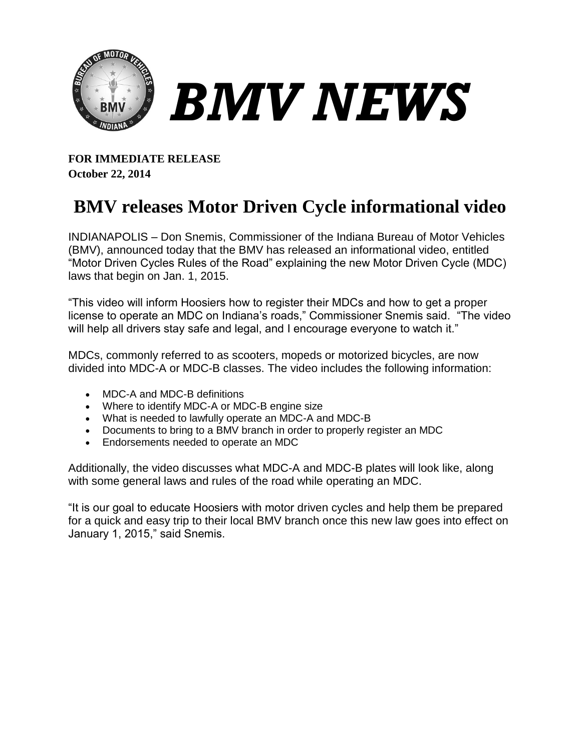

**FOR IMMEDIATE RELEASE October 22, 2014**

## **BMV releases Motor Driven Cycle informational video**

INDIANAPOLIS – Don Snemis, Commissioner of the Indiana Bureau of Motor Vehicles (BMV), announced today that the BMV has released an informational video, entitled "Motor Driven Cycles Rules of the Road" explaining the new Motor Driven Cycle (MDC) laws that begin on Jan. 1, 2015.

"This video will inform Hoosiers how to register their MDCs and how to get a proper license to operate an MDC on Indiana's roads," Commissioner Snemis said. "The video will help all drivers stay safe and legal, and I encourage everyone to watch it."

MDCs, commonly referred to as scooters, mopeds or motorized bicycles, are now divided into MDC-A or MDC-B classes. The video includes the following information:

- MDC-A and MDC-B definitions
- Where to identify MDC-A or MDC-B engine size
- What is needed to lawfully operate an MDC-A and MDC-B
- Documents to bring to a BMV branch in order to properly register an MDC
- **Endorsements needed to operate an MDC**

Additionally, the video discusses what MDC-A and MDC-B plates will look like, along with some general laws and rules of the road while operating an MDC.

"It is our goal to educate Hoosiers with motor driven cycles and help them be prepared for a quick and easy trip to their local BMV branch once this new law goes into effect on January 1, 2015," said Snemis.